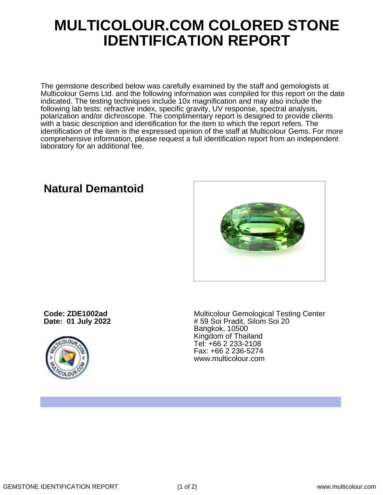## **MULTICOLOUR.COM COLORED STONE IDENTIFICATION REPORT**

The gemstone described below was carefully examined by the staff and gemologists at Multicolour Gems Ltd. and the following information was compiled for this report on the date indicated. The testing techniques include 10x magnification and may also include the following lab tests: refractive index, specific gravity, UV response, spectral analysis, polarization and/or dichroscope. The complimentary report is designed to provide clients with a basic description and identification for the item to which the report refers. The identification of the item is the expressed opinion of the staff at Multicolour Gems. For more comprehensive information, please request a full identification report from an independent laboratory for an additional fee.

**Code: ZDE1002ad**

**Date: 01 July 2022**



Multicolour Gemological Testing Center # 59 Soi Pradit, Silom Soi 20 Bangkok, 10500 Kingdom of Thailand Tel: +66 2 233-2108 Fax: +66 2 236-5274 www.multicolour.com

**Natural Demantoid**